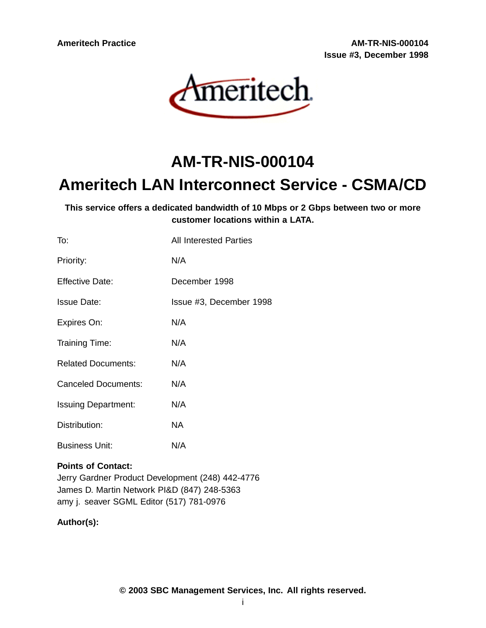**Ameritech Practice AM-TR-NIS-000104 Issue #3, December 1998**



# **AM-TR-NIS-000104**

# **Ameritech LAN Interconnect Service - CSMA/CD**

**This service offers a dedicated bandwidth of 10 Mbps or 2 Gbps between two or more customer locations within a LATA.**

| To:                        | All Interested Parties  |
|----------------------------|-------------------------|
| Priority:                  | N/A                     |
| <b>Effective Date:</b>     | December 1998           |
| Issue Date:                | Issue #3, December 1998 |
| Expires On:                | N/A                     |
| Training Time:             | N/A                     |
| <b>Related Documents:</b>  | N/A                     |
| <b>Canceled Documents:</b> | N/A                     |
| <b>Issuing Department:</b> | N/A                     |
| Distribution:              | NA.                     |
| <b>Business Unit:</b>      | N/A                     |

# **Points of Contact:**

Jerry Gardner Product Development (248) 442-4776 James D. Martin Network PI&D (847) 248-5363 amy j. seaver SGML Editor (517) 781-0976

# **Author(s):**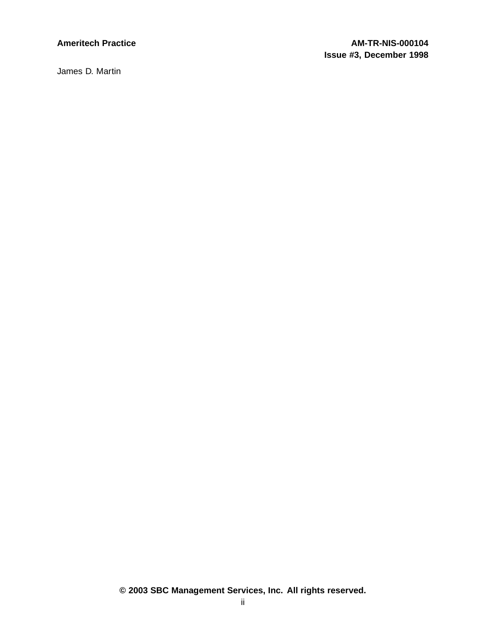James D. Martin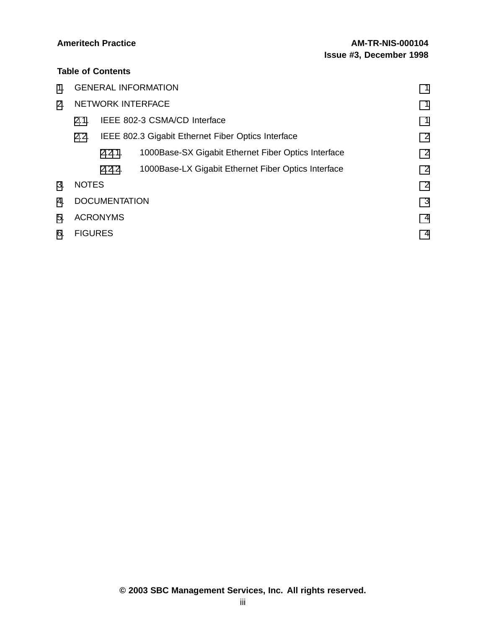# **Table of Contents**

| $1_{-}$              | <b>GENERAL INFORMATION</b>                                 |        |                                                     | 1              |
|----------------------|------------------------------------------------------------|--------|-----------------------------------------------------|----------------|
| 2 <sub>1</sub>       | <b>NETWORK INTERFACE</b>                                   |        |                                                     | 1              |
|                      | IEEE 802-3 CSMA/CD Interface<br>2.1.                       |        |                                                     |                |
|                      | IEEE 802.3 Gigabit Ethernet Fiber Optics Interface<br>2.2. |        |                                                     | $\overline{2}$ |
|                      |                                                            | 2.2.1. | 1000Base-SX Gigabit Ethernet Fiber Optics Interface | $\overline{2}$ |
|                      |                                                            | 2.2.2. | 1000Base-LX Gigabit Ethernet Fiber Optics Interface | $\overline{2}$ |
| 3.                   | <b>NOTES</b>                                               |        |                                                     | $\overline{2}$ |
| $\mathbf{4}_{\cdot}$ | <b>DOCUMENTATION</b><br>3                                  |        |                                                     |                |
| 5.                   | <b>ACRONYMS</b>                                            |        |                                                     | $\overline{4}$ |
| 6.                   | <b>FIGURES</b>                                             |        |                                                     | 4              |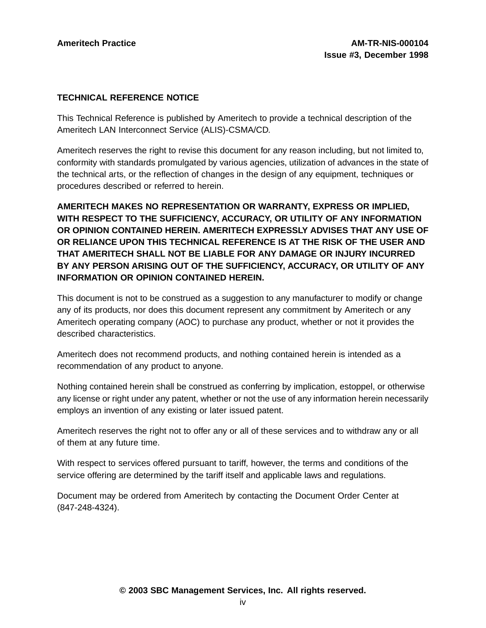## **TECHNICAL REFERENCE NOTICE**

This Technical Reference is published by Ameritech to provide a technical description of the Ameritech LAN Interconnect Service (ALIS)-CSMA/CD.

Ameritech reserves the right to revise this document for any reason including, but not limited to, conformity with standards promulgated by various agencies, utilization of advances in the state of the technical arts, or the reflection of changes in the design of any equipment, techniques or procedures described or referred to herein.

**AMERITECH MAKES NO REPRESENTATION OR WARRANTY, EXPRESS OR IMPLIED, WITH RESPECT TO THE SUFFICIENCY, ACCURACY, OR UTILITY OF ANY INFORMATION OR OPINION CONTAINED HEREIN. AMERITECH EXPRESSLY ADVISES THAT ANY USE OF OR RELIANCE UPON THIS TECHNICAL REFERENCE IS AT THE RISK OF THE USER AND THAT AMERITECH SHALL NOT BE LIABLE FOR ANY DAMAGE OR INJURY INCURRED BY ANY PERSON ARISING OUT OF THE SUFFICIENCY, ACCURACY, OR UTILITY OF ANY INFORMATION OR OPINION CONTAINED HEREIN.**

This document is not to be construed as a suggestion to any manufacturer to modify or change any of its products, nor does this document represent any commitment by Ameritech or any Ameritech operating company (AOC) to purchase any product, whether or not it provides the described characteristics.

Ameritech does not recommend products, and nothing contained herein is intended as a recommendation of any product to anyone.

Nothing contained herein shall be construed as conferring by implication, estoppel, or otherwise any license or right under any patent, whether or not the use of any information herein necessarily employs an invention of any existing or later issued patent.

Ameritech reserves the right not to offer any or all of these services and to withdraw any or all of them at any future time.

With respect to services offered pursuant to tariff, however, the terms and conditions of the service offering are determined by the tariff itself and applicable laws and regulations.

Document may be ordered from Ameritech by contacting the Document Order Center at (847-248-4324).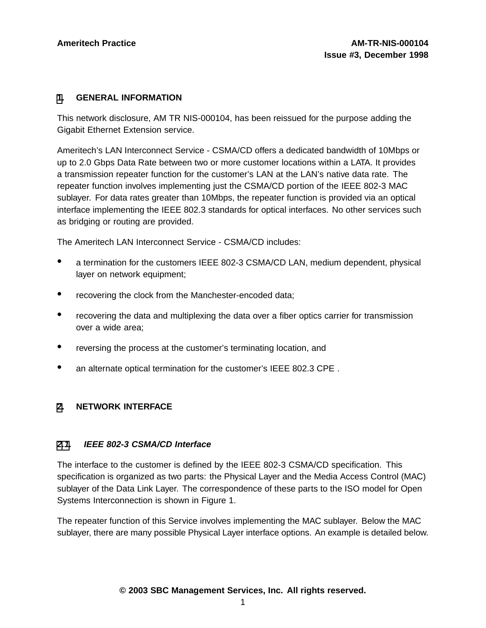### **[1](#page-4-0). GENERAL INFORMATION**

This network disclosure, AM TR NIS-000104, has been reissued for the purpose adding the Gigabit Ethernet Extension service.

Ameritech's LAN Interconnect Service - CSMA/CD offers a dedicated bandwidth of 10Mbps or up to 2.0 Gbps Data Rate between two or more customer locations within a LATA. It provides a transmission repeater function for the customer's LAN at the LAN's native data rate. The repeater function involves implementing just the CSMA/CD portion of the IEEE 802-3 MAC sublayer. For data rates greater than 10Mbps, the repeater function is provided via an optical interface implementing the IEEE 802.3 standards for optical interfaces. No other services such as bridging or routing are provided.

The Ameritech LAN Interconnect Service - CSMA/CD includes:

- <sup>a</sup> termination for the customers IEEE 802-3 CSMA/CD LAN, medium dependent, physical layer on network equipment;
- recovering the clock from the Manchester-encoded data;
- recovering the data and multiplexing the data over <sup>a</sup> fiber optics carrier for transmission over a wide area;
- reversing the process at the customer's terminating location, and
- an alternate optical termination for the customer's IEEE 802.3 CPE .

### **[2](#page-4-0). NETWORK INTERFACE**

#### **[2.1](#page-4-0). IEEE 802-3 CSMA/CD Interface**

The interface to the customer is defined by the IEEE 802-3 CSMA/CD specification. This specification is organized as two parts: the Physical Layer and the Media Access Control (MAC) sublayer of the Data Link Layer. The correspondence of these parts to the ISO model for Open Systems Interconnection is shown in Figure 1.

<span id="page-4-0"></span>The repeater function of this Service involves implementing the MAC sublayer. Below the MAC sublayer, there are many possible Physical Layer interface options. An example is detailed below.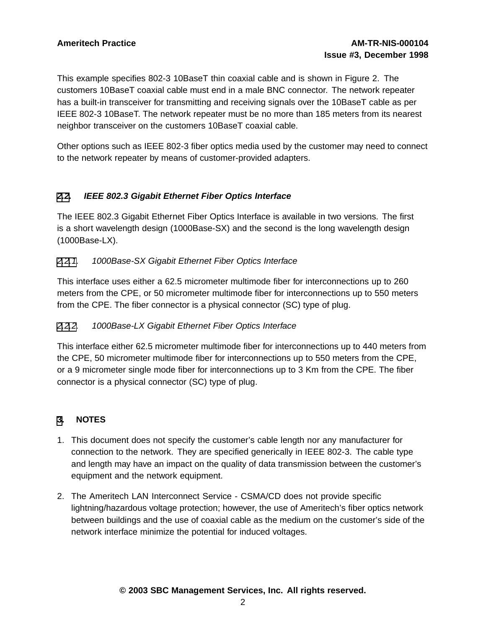This example specifies 802-3 10BaseT thin coaxial cable and is shown in Figure 2. The customers 10BaseT coaxial cable must end in a male BNC connector. The network repeater has a built-in transceiver for transmitting and receiving signals over the 10BaseT cable as per IEEE 802-3 10BaseT. The network repeater must be no more than 185 meters from its nearest neighbor transceiver on the customers 10BaseT coaxial cable.

Other options such as IEEE 802-3 fiber optics media used by the customer may need to connect to the network repeater by means of customer-provided adapters.

# **[2](#page-4-0)[.2](#page-5-0). IEEE 802.3 Gigabit Ethernet Fiber Optics Interface**

The IEEE 802.3 Gigabit Ethernet Fiber Optics Interface is available in two versions. The first is a short wavelength design (1000Base-SX) and the second is the long wavelength design (1000Base-LX).

## [2](#page-4-0)[.2.1](#page-5-0). 1000Base-SX Gigabit Ethernet Fiber Optics Interface

This interface uses either a 62.5 micrometer multimode fiber for interconnections up to 260 meters from the CPE, or 50 micrometer multimode fiber for interconnections up to 550 meters from the CPE. The fiber connector is a physical connector (SC) type of plug.

# [2](#page-4-0)[.2.2](#page-5-0). 1000Base-LX Gigabit Ethernet Fiber Optics Interface

This interface either 62.5 micrometer multimode fiber for interconnections up to 440 meters from the CPE, 50 micrometer multimode fiber for interconnections up to 550 meters from the CPE, or a 9 micrometer single mode fiber for interconnections up to 3 Km from the CPE. The fiber connector is a physical connector (SC) type of plug.

# **[3](#page-5-0). NOTES**

- 1. This document does not specify the customer's cable length nor any manufacturer for connection to the network. They are specified generically in IEEE 802-3. The cable type and length may have an impact on the quality of data transmission between the customer's equipment and the network equipment.
- <span id="page-5-0"></span>2. The Ameritech LAN Interconnect Service - CSMA/CD does not provide specific lightning/hazardous voltage protection; however, the use of Ameritech's fiber optics network between buildings and the use of coaxial cable as the medium on the customer's side of the network interface minimize the potential for induced voltages.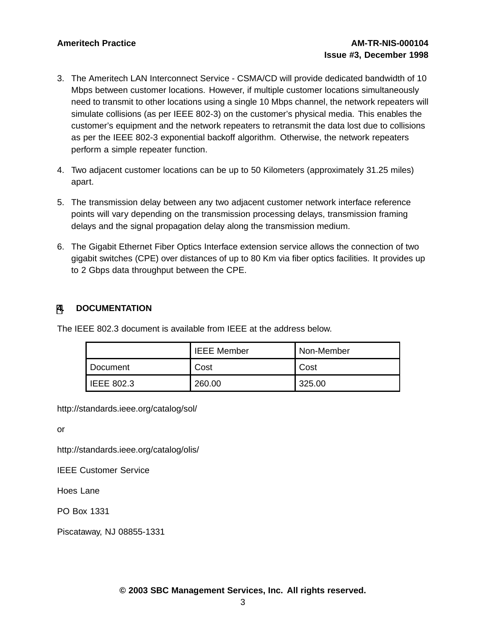- 3. The Ameritech LAN Interconnect Service CSMA/CD will provide dedicated bandwidth of 10 Mbps between customer locations. However, if multiple customer locations simultaneously need to transmit to other locations using a single 10 Mbps channel, the network repeaters will simulate collisions (as per IEEE 802-3) on the customer's physical media. This enables the customer's equipment and the network repeaters to retransmit the data lost due to collisions as per the IEEE 802-3 exponential backoff algorithm. Otherwise, the network repeaters perform a simple repeater function.
- 4. Two adjacent customer locations can be up to 50 Kilometers (approximately 31.25 miles) apart.
- 5. The transmission delay between any two adjacent customer network interface reference points will vary depending on the transmission processing delays, transmission framing delays and the signal propagation delay along the transmission medium.
- 6. The Gigabit Ethernet Fiber Optics Interface extension service allows the connection of two gigabit switches (CPE) over distances of up to 80 Km via fiber optics facilities. It provides up to 2 Gbps data throughput between the CPE.

# **[4](#page-6-0). DOCUMENTATION**

The IEEE 802.3 document is available from IEEE at the address below.

|                   | <b>IEEE Member</b> | Non-Member |
|-------------------|--------------------|------------|
| Document          | Cost               | Cost       |
| <b>IEEE 802.3</b> | 260.00             | 325.00     |

http://standards.ieee.org/catalog/sol/

or

http://standards.ieee.org/catalog/olis/

IEEE Customer Service

Hoes Lane

PO Box 1331

<span id="page-6-0"></span>Piscataway, NJ 08855-1331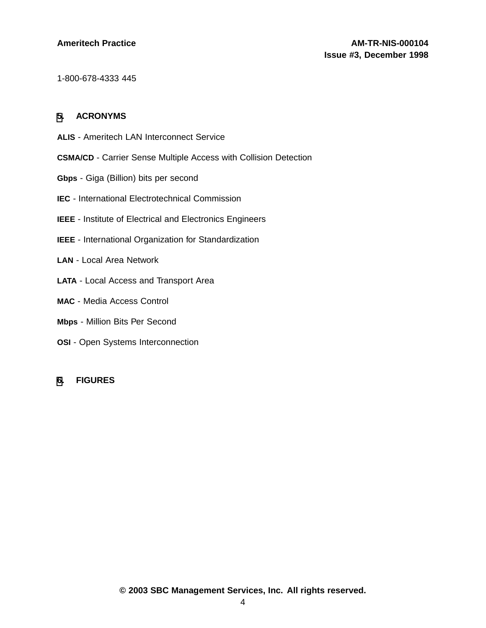1-800-678-4333 445

#### **[5](#page-7-0). ACRONYMS**

- **ALIS** Ameritech LAN Interconnect Service
- **CSMA/CD** Carrier Sense Multiple Access with Collision Detection
- **Gbps** Giga (Billion) bits per second
- **IEC** International Electrotechnical Commission
- **IEEE** Institute of Electrical and Electronics Engineers
- **IEEE** International Organization for Standardization
- **LAN** Local Area Network
- **LATA** Local Access and Transport Area
- **MAC** Media Access Control
- **Mbps** Million Bits Per Second
- **OSI** Open Systems Interconnection

#### <span id="page-7-0"></span>**[6](#page-7-0). FIGURES**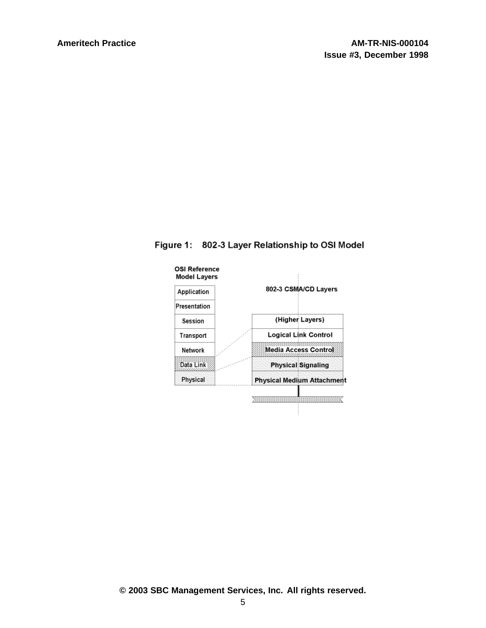

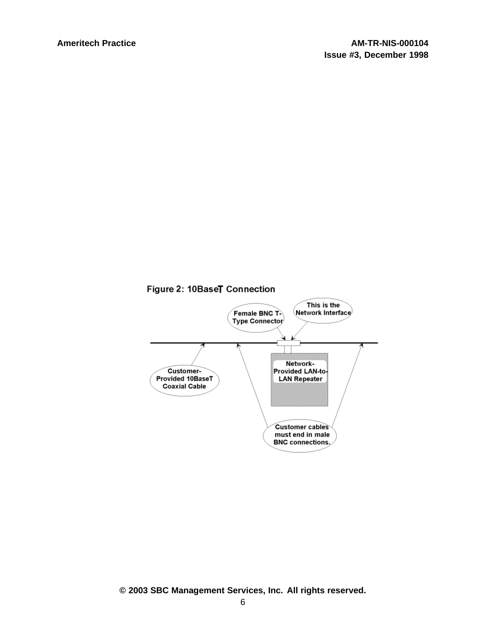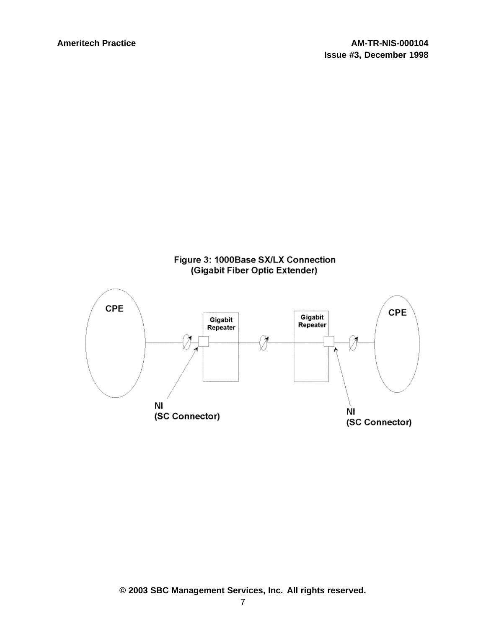